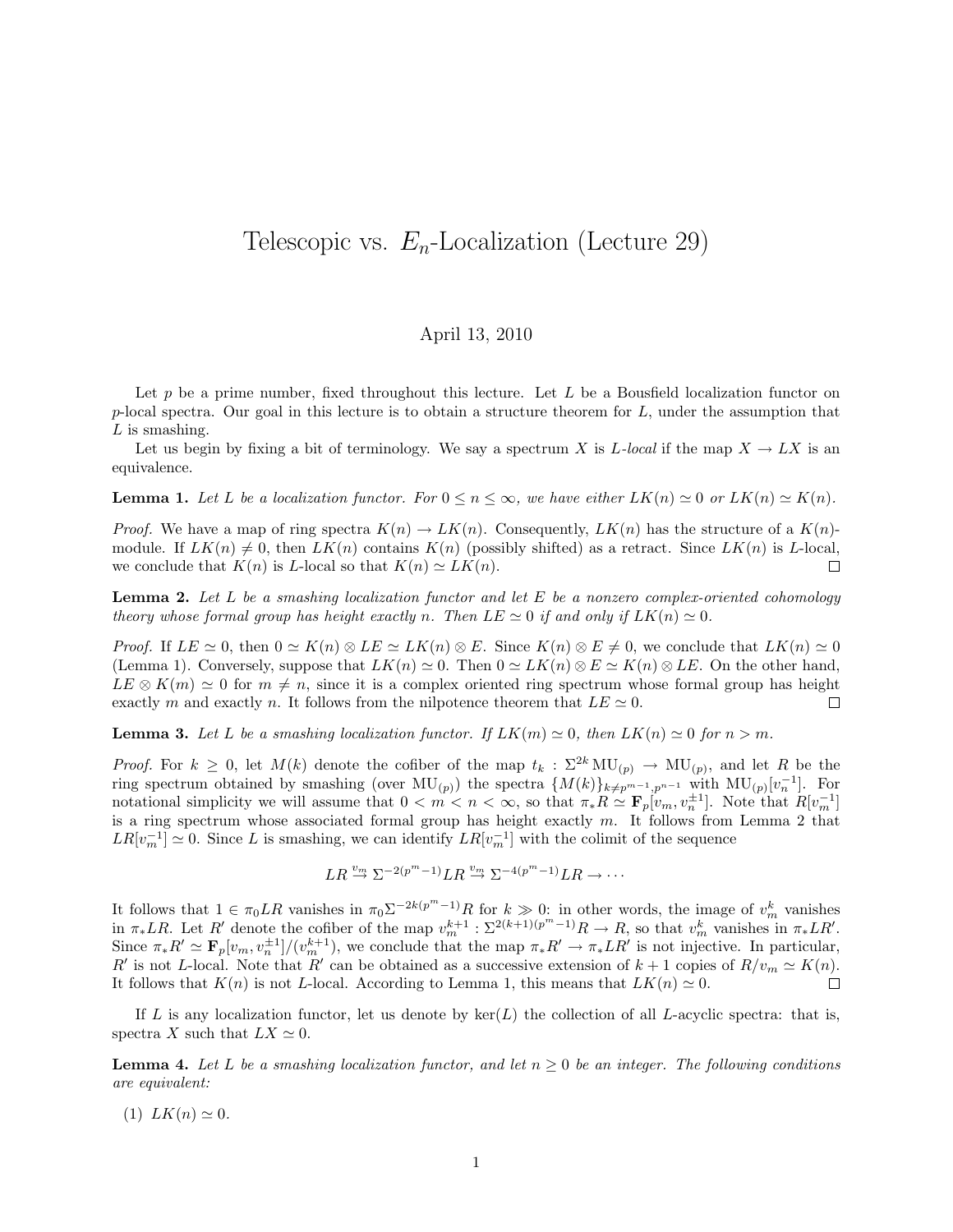## Telescopic vs.  $E_n$ -Localization (Lecture 29)

## April 13, 2010

Let  $p$  be a prime number, fixed throughout this lecture. Let  $L$  be a Bousfield localization functor on p-local spectra. Our goal in this lecture is to obtain a structure theorem for  $L$ , under the assumption that  $L$  is smashing.

Let us begin by fixing a bit of terminology. We say a spectrum X is L-local if the map  $X \to LX$  is an equivalence.

**Lemma 1.** Let L be a localization functor. For  $0 \le n \le \infty$ , we have either  $LK(n) \simeq 0$  or  $LK(n) \simeq K(n)$ .

*Proof.* We have a map of ring spectra  $K(n) \to L\tilde{K}(n)$ . Consequently,  $LK(n)$  has the structure of a  $K(n)$ module. If  $LK(n) \neq 0$ , then  $LK(n)$  contains  $K(n)$  (possibly shifted) as a retract. Since  $LK(n)$  is L-local, we conclude that  $K(n)$  is L-local so that  $K(n) \simeq LK(n)$ .  $\Box$ 

**Lemma 2.** Let L be a smashing localization functor and let E be a nonzero complex-oriented cohomology theory whose formal group has height exactly n. Then  $LE \simeq 0$  if and only if  $LK(n) \simeq 0$ .

*Proof.* If  $LE \simeq 0$ , then  $0 \simeq K(n) \otimes LE \simeq LK(n) \otimes E$ . Since  $K(n) \otimes E \neq 0$ , we conclude that  $LK(n) \simeq 0$ (Lemma 1). Conversely, suppose that  $LK(n) \simeq 0$ . Then  $0 \simeq LK(n) \otimes E \simeq K(n) \otimes LE$ . On the other hand,  $LE \otimes K(m) \simeq 0$  for  $m \neq n$ , since it is a complex oriented ring spectrum whose formal group has height exactly m and exactly n. It follows from the nilpotence theorem that  $LE \simeq 0$ .  $\Box$ 

**Lemma 3.** Let L be a smashing localization functor. If  $LK(m) \simeq 0$ , then  $LK(n) \simeq 0$  for  $n > m$ .

*Proof.* For  $k \geq 0$ , let  $M(k)$  denote the cofiber of the map  $t_k : \Sigma^{2k} MU_{(p)} \to MU_{(p)}$ , and let R be the ring spectrum obtained by smashing (over  $MU_{(p)}$ ) the spectra  ${M(k)}_{k\neq p^{m-1},p^{n-1}}$  with  $MU_{(p)}[v_n^{-1}]$ . For notational simplicity we will assume that  $0 < m < \infty$ , so that  $\pi_* R \cong \mathbf{F}_p[v_m, v_n^{\pm 1}]$ . Note that  $R[v_m^{-1}]$ is a ring spectrum whose associated formal group has height exactly  $m$ . It follows from Lemma 2 that  $LR[v_m^{-1}] \simeq 0$ . Since L is smashing, we can identify  $LR[v_m^{-1}]$  with the colimit of the sequence

$$
LR \xrightarrow{v_m} \Sigma^{-2(p^m-1)} LR \xrightarrow{v_m} \Sigma^{-4(p^m-1)} LR \to \cdots
$$

It follows that  $1 \in \pi_0 LR$  vanishes in  $\pi_0 \Sigma^{-2k(p^m-1)}R$  for  $k \gg 0$ : in other words, the image of  $v_m^k$  vanishes in  $\pi_* LR$ . Let R' denote the cofiber of the map  $v_m^{k+1} : \Sigma^{2(k+1)(p^m-1)}R \to R$ , so that  $v_m^k$  vanishes in  $\pi_* LR'$ . Since  $\pi_* R' \simeq \mathbf{F}_p[v_m, v_n^{\pm 1}]/(v_m^{k+1}),$  we conclude that the map  $\pi_* R' \to \pi_* L R'$  is not injective. In particular, R' is not L-local. Note that R' can be obtained as a successive extension of  $k + 1$  copies of  $R/v_m \simeq K(n)$ . It follows that  $K(n)$  is not L-local. According to Lemma 1, this means that  $LK(n) \simeq 0$ .  $\Box$ 

If L is any localization functor, let us denote by  $\ker(L)$  the collection of all L-acyclic spectra: that is, spectra X such that  $LX \simeq 0$ .

**Lemma 4.** Let L be a smashing localization functor, and let  $n \geq 0$  be an integer. The following conditions are equivalent:

(1)  $LK(n) \simeq 0$ .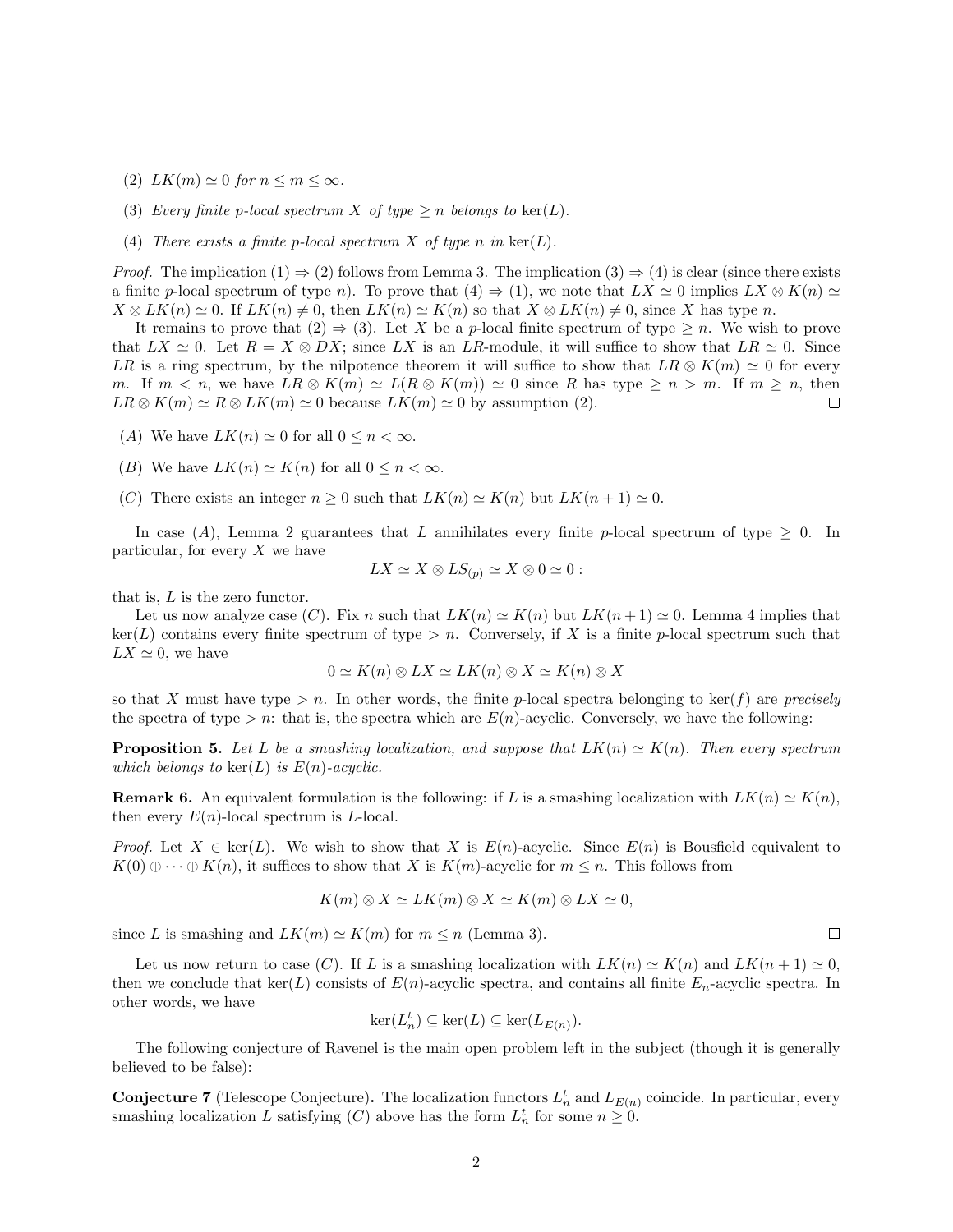- (2)  $LK(m) \simeq 0$  for  $n \leq m \leq \infty$ .
- (3) Every finite p-local spectrum X of type  $\geq n$  belongs to  $\ker(L)$ .
- (4) There exists a finite p-local spectrum X of type n in  $\ker(L)$ .

*Proof.* The implication  $(1) \Rightarrow (2)$  follows from Lemma 3. The implication  $(3) \Rightarrow (4)$  is clear (since there exists a finite p-local spectrum of type n). To prove that  $(4) \Rightarrow (1)$ , we note that  $LX \simeq 0$  implies  $LX \otimes K(n) \simeq$  $X \otimes LK(n) \simeq 0$ . If  $LK(n) \neq 0$ , then  $LK(n) \simeq K(n)$  so that  $X \otimes LK(n) \neq 0$ , since X has type n.

It remains to prove that  $(2) \Rightarrow (3)$ . Let X be a p-local finite spectrum of type  $\geq n$ . We wish to prove that  $LX \simeq 0$ . Let  $R = X \otimes DX$ ; since  $LX$  is an  $LR$ -module, it will suffice to show that  $LR \simeq 0$ . Since LR is a ring spectrum, by the nilpotence theorem it will suffice to show that  $LR \otimes K(m) \simeq 0$  for every m. If  $m < n$ , we have  $LR \otimes K(m) \simeq L(R \otimes K(m)) \simeq 0$  since R has type  $\geq n > m$ . If  $m \geq n$ , then  $LR \otimes K(m) \simeq R \otimes LK(m) \simeq 0$  because  $LK(m) \simeq 0$  by assumption (2).  $\Box$ 

- (A) We have  $LK(n) \approx 0$  for all  $0 \leq n < \infty$ .
- (B) We have  $LK(n) \simeq K(n)$  for all  $0 \leq n < \infty$ .
- (C) There exists an integer  $n \geq 0$  such that  $LK(n) \simeq K(n)$  but  $LK(n+1) \simeq 0$ .

In case (A), Lemma 2 guarantees that L annihilates every finite p-local spectrum of type  $\geq 0$ . In particular, for every  $X$  we have

$$
LX \simeq X \otimes LS_{(p)} \simeq X \otimes 0 \simeq 0:
$$

that is,  $L$  is the zero functor.

Let us now analyze case  $(C)$ . Fix n such that  $LK(n) \simeq K(n)$  but  $LK(n+1) \simeq 0$ . Lemma 4 implies that  $ker(L)$  contains every finite spectrum of type  $> n$ . Conversely, if X is a finite p-local spectrum such that  $LX \simeq 0$ , we have

$$
0 \simeq K(n) \otimes LX \simeq LK(n) \otimes X \simeq K(n) \otimes X
$$

so that X must have type  $> n$ . In other words, the finite p-local spectra belonging to ker(f) are precisely the spectra of type  $> n$ : that is, the spectra which are  $E(n)$ -acyclic. Conversely, we have the following:

**Proposition 5.** Let L be a smashing localization, and suppose that  $LK(n) \simeq K(n)$ . Then every spectrum which belongs to  $\ker(L)$  is  $E(n)$ -acyclic.

**Remark 6.** An equivalent formulation is the following: if L is a smashing localization with  $LK(n) \simeq K(n)$ , then every  $E(n)$ -local spectrum is L-local.

*Proof.* Let  $X \in \text{ker}(L)$ . We wish to show that X is  $E(n)$ -acyclic. Since  $E(n)$  is Bousfield equivalent to  $K(0) \oplus \cdots \oplus K(n)$ , it suffices to show that X is  $K(m)$ -acyclic for  $m \leq n$ . This follows from

$$
K(m) \otimes X \simeq LK(m) \otimes X \simeq K(m) \otimes LX \simeq 0,
$$

since L is smashing and  $LK(m) \simeq K(m)$  for  $m \leq n$  (Lemma 3).

Let us now return to case (C). If L is a smashing localization with  $LK(n) \simeq K(n)$  and  $LK(n+1) \simeq 0$ , then we conclude that  $\ker(L)$  consists of  $E(n)$ -acyclic spectra, and contains all finite  $E_n$ -acyclic spectra. In other words, we have

$$
\ker(L_n^t) \subseteq \ker(L) \subseteq \ker(L_{E(n)}).
$$

The following conjecture of Ravenel is the main open problem left in the subject (though it is generally believed to be false):

**Conjecture 7** (Telescope Conjecture). The localization functors  $L_n^t$  and  $L_{E(n)}$  coincide. In particular, every smashing localization L satisfying (C) above has the form  $L_n^t$  for some  $n \geq 0$ .

 $\Box$